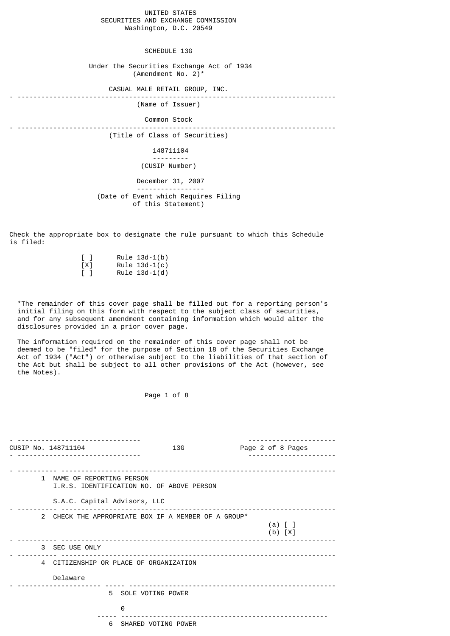# UNITED STATES SECURITIES AND EXCHANGE COMMISSION Washington, D.C. 20549

SCHEDULE 13G

 Under the Securities Exchange Act of 1934 (Amendment No. 2)\*

CASUAL MALE RETAIL GROUP, INC.

- --------------------------------------------------------------------------------

(Name of Issuer)

## Common Stock

- --------------------------------------------------------------------------------

(Title of Class of Securities)

#### 148711104 ---------

(CUSIP Number)

### December 31, 2007 ----------------- (Date of Event which Requires Filing of this Statement)

Check the appropriate box to designate the rule pursuant to which this Schedule is filed:

| $\perp$ | Rule $13d-1(b)$ |
|---------|-----------------|
| [X]     | Rule $13d-1(c)$ |
| $\perp$ | Rule $13d-1(d)$ |

 \*The remainder of this cover page shall be filled out for a reporting person's initial filing on this form with respect to the subject class of securities, and for any subsequent amendment containing information which would alter the disclosures provided in a prior cover page.

 The information required on the remainder of this cover page shall not be deemed to be "filed" for the purpose of Section 18 of the Securities Exchange Act of 1934 ("Act") or otherwise subject to the liabilities of that section of the Act but shall be subject to all other provisions of the Act (however, see the Notes).

# Page 1 of 8

| CUSIP No. 148711104                    | 13G                                                 | Page 2 of 8 Pages          |
|----------------------------------------|-----------------------------------------------------|----------------------------|
| 1 NAME OF REPORTING PERSON             | I.R.S. IDENTIFICATION NO. OF ABOVE PERSON           |                            |
| S.A.C. Capital Advisors, LLC           |                                                     |                            |
|                                        | 2 CHECK THE APPROPRIATE BOX IF A MEMBER OF A GROUP* | $(a)$ $[$ $]$<br>$(b) [X]$ |
| 3 SEC USE ONLY                         |                                                     |                            |
| 4 CITIZENSHIP OR PLACE OF ORGANIZATION |                                                     |                            |
| Delaware                               |                                                     |                            |
|                                        | 5 SOLE VOTING POWER                                 |                            |
| 0                                      | 6 SHARED VOTING POWER                               |                            |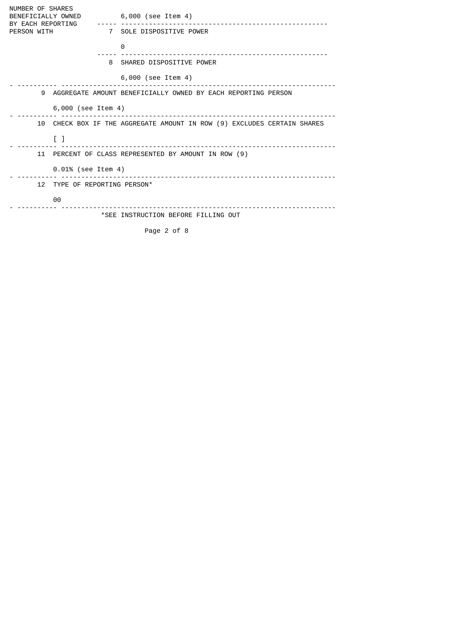NUMBER OF SHARES<br>BENEFICIALLY OWNED BENEFICIALLY OWNED 6,000 (see Item 4) BY EACH REPORTING ----- ---------------------------------------------------- PERSON WITH 7 SOLE DISPOSITIVE POWER <u>0</u> ----- ---------------------------------------------------- 8 SHARED DISPOSITIVE POWER 6,000 (see Item 4) - ---------- --------------------------------------------------------------------- 9 AGGREGATE AMOUNT BENEFICIALLY OWNED BY EACH REPORTING PERSON 6,000 (see Item 4) - ---------- --------------------------------------------------------------------- 10 CHECK BOX IF THE AGGREGATE AMOUNT IN ROW (9) EXCLUDES CERTAIN SHARES  $\begin{bmatrix} 1 \\ 2 \end{bmatrix}$ - ---------- --------------------------------------------------------------------- 11 PERCENT OF CLASS REPRESENTED BY AMOUNT IN ROW (9) 0.01% (see Item 4) - ---------- --------------------------------------------------------------------- 12 TYPE OF REPORTING PERSON\* 00 - ---------- --------------------------------------------------------------------- \*SEE INSTRUCTION BEFORE FILLING OUT Page 2 of 8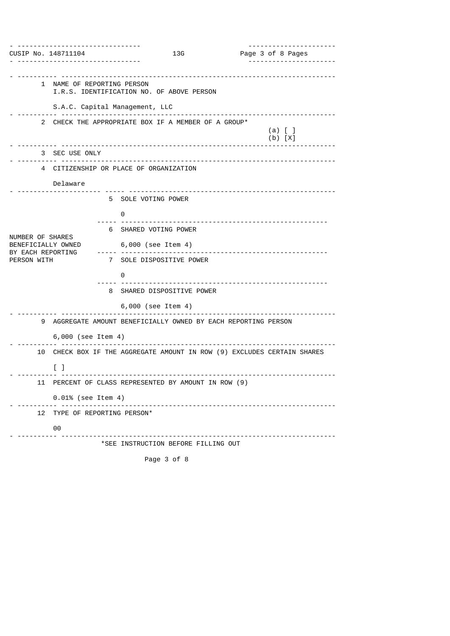| CUSIP No. 148711104                    |                                                                         |                                     | 13G | Page 3 of 8 Pages                                                       |  |
|----------------------------------------|-------------------------------------------------------------------------|-------------------------------------|-----|-------------------------------------------------------------------------|--|
|                                        |                                                                         |                                     |     |                                                                         |  |
|                                        | 1 NAME OF REPORTING PERSON<br>I.R.S. IDENTIFICATION NO. OF ABOVE PERSON |                                     |     |                                                                         |  |
|                                        | S.A.C. Capital Management, LLC                                          |                                     |     | <u></u>                                                                 |  |
|                                        | 2 CHECK THE APPROPRIATE BOX IF A MEMBER OF A GROUP*                     |                                     |     | $(a)$ $[$ $]$<br>$(b) [X]$                                              |  |
|                                        | 3 SEC USE ONLY                                                          |                                     |     |                                                                         |  |
|                                        | 4 CITIZENSHIP OR PLACE OF ORGANIZATION                                  |                                     |     |                                                                         |  |
|                                        | Delaware                                                                |                                     |     |                                                                         |  |
|                                        |                                                                         | 5 SOLE VOTING POWER                 |     |                                                                         |  |
|                                        |                                                                         | 0                                   |     |                                                                         |  |
|                                        |                                                                         | 6 SHARED VOTING POWER               |     |                                                                         |  |
| NUMBER OF SHARES<br>BENEFICIALLY OWNED |                                                                         | 6,000 (see Item 4)                  |     |                                                                         |  |
| BY EACH REPORTING<br>PERSON WITH       |                                                                         | 7 SOLE DISPOSITIVE POWER            |     | -----------------------------                                           |  |
|                                        |                                                                         | 0                                   |     |                                                                         |  |
|                                        |                                                                         | 8 SHARED DISPOSITIVE POWER          |     |                                                                         |  |
|                                        |                                                                         | 6,000 (see Item 4)                  |     |                                                                         |  |
| 9                                      |                                                                         |                                     |     | AGGREGATE AMOUNT BENEFICIALLY OWNED BY EACH REPORTING PERSON            |  |
|                                        | 6,000 (see Item 4)                                                      |                                     |     |                                                                         |  |
|                                        |                                                                         |                                     |     | 10 CHECK BOX IF THE AGGREGATE AMOUNT IN ROW (9) EXCLUDES CERTAIN SHARES |  |
|                                        | $\Box$                                                                  |                                     |     |                                                                         |  |
| 11                                     | PERCENT OF CLASS REPRESENTED BY AMOUNT IN ROW (9)                       |                                     |     |                                                                         |  |
|                                        | 0.01% (see Item 4)                                                      |                                     |     |                                                                         |  |
| 12                                     | TYPE OF REPORTING PERSON*                                               |                                     | .   |                                                                         |  |
|                                        | 00                                                                      |                                     |     |                                                                         |  |
|                                        |                                                                         | *SEE INSTRUCTION BEFORE FILLING OUT |     |                                                                         |  |
|                                        |                                                                         | Page 3 of 8                         |     |                                                                         |  |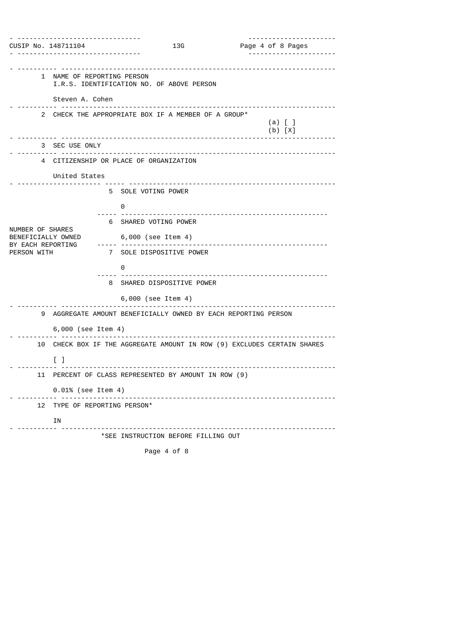| CUSIP No. 148711104                    |                                   | 13G                                                          |                              | Page 4 of 8 Pages                                                       |
|----------------------------------------|-----------------------------------|--------------------------------------------------------------|------------------------------|-------------------------------------------------------------------------|
|                                        |                                   |                                                              |                              |                                                                         |
|                                        | 1 NAME OF REPORTING PERSON        | I.R.S. IDENTIFICATION NO. OF ABOVE PERSON                    |                              |                                                                         |
|                                        | Steven A. Cohen                   |                                                              |                              |                                                                         |
|                                        |                                   | 2 CHECK THE APPROPRIATE BOX IF A MEMBER OF A GROUP*          |                              | $(a)$ $\lceil$ $\rceil$<br>$(b) [X]$                                    |
|                                        | 3 SEC USE ONLY                    |                                                              |                              |                                                                         |
|                                        |                                   | 4 CITIZENSHIP OR PLACE OF ORGANIZATION                       |                              |                                                                         |
|                                        | United States                     |                                                              |                              |                                                                         |
|                                        |                                   | 5 SOLE VOTING POWER                                          |                              |                                                                         |
|                                        |                                   | 0                                                            |                              |                                                                         |
|                                        |                                   | 6 SHARED VOTING POWER                                        |                              |                                                                         |
| NUMBER OF SHARES<br>BENEFICIALLY OWNED |                                   | 6,000 (see Item 4)                                           |                              |                                                                         |
| BY EACH REPORTING<br>PERSON WITH       |                                   | . <u>.</u> .<br>7 SOLE DISPOSITIVE POWER                     |                              | ---------------------------------                                       |
|                                        |                                   | $\Theta$                                                     |                              |                                                                         |
|                                        |                                   | 8 SHARED DISPOSITIVE POWER                                   |                              |                                                                         |
|                                        |                                   | 6,000 (see Item 4)                                           |                              |                                                                         |
| 9                                      |                                   | AGGREGATE AMOUNT BENEFICIALLY OWNED BY EACH REPORTING PERSON |                              |                                                                         |
|                                        | 6,000 (see Item 4)                |                                                              |                              |                                                                         |
|                                        |                                   |                                                              |                              | 10 CHECK BOX IF THE AGGREGATE AMOUNT IN ROW (9) EXCLUDES CERTAIN SHARES |
|                                        | $\begin{bmatrix} 1 \end{bmatrix}$ |                                                              |                              |                                                                         |
| 11.                                    |                                   | PERCENT OF CLASS REPRESENTED BY AMOUNT IN ROW (9)            |                              |                                                                         |
|                                        | 0.01% (see Item 4)                |                                                              | ____________________________ |                                                                         |
| 12                                     | TYPE OF REPORTING PERSON*         |                                                              |                              |                                                                         |
|                                        | ΙN                                |                                                              |                              |                                                                         |
|                                        |                                   | *SEE INSTRUCTION BEFORE FILLING OUT                          |                              |                                                                         |
|                                        |                                   | Page 4 of 8                                                  |                              |                                                                         |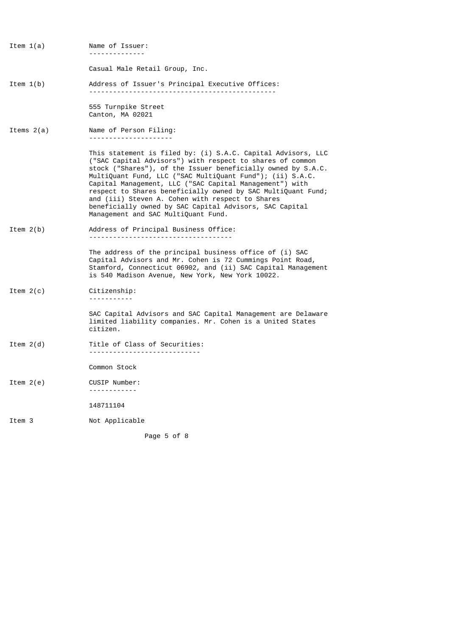| Item $1(a)$  | Name of Issuer:<br><u>.</u>                                                                                                                                                                                                                                                                                                                                                                                                                                                                                                             |
|--------------|-----------------------------------------------------------------------------------------------------------------------------------------------------------------------------------------------------------------------------------------------------------------------------------------------------------------------------------------------------------------------------------------------------------------------------------------------------------------------------------------------------------------------------------------|
|              | Casual Male Retail Group, Inc.                                                                                                                                                                                                                                                                                                                                                                                                                                                                                                          |
| Item $1(b)$  | Address of Issuer's Principal Executive Offices:                                                                                                                                                                                                                                                                                                                                                                                                                                                                                        |
|              | 555 Turnpike Street<br>Canton, MA 02021                                                                                                                                                                                                                                                                                                                                                                                                                                                                                                 |
| Items $2(a)$ | Name of Person Filing:<br>---------------------                                                                                                                                                                                                                                                                                                                                                                                                                                                                                         |
|              | This statement is filed by: (i) S.A.C. Capital Advisors, LLC<br>("SAC Capital Advisors") with respect to shares of common<br>stock ("Shares"), of the Issuer beneficially owned by S.A.C.<br>MultiQuant Fund, LLC ("SAC MultiQuant Fund"); (ii) S.A.C.<br>Capital Management, LLC ("SAC Capital Management") with<br>respect to Shares beneficially owned by SAC MultiQuant Fund;<br>and (iii) Steven A. Cohen with respect to Shares<br>beneficially owned by SAC Capital Advisors, SAC Capital<br>Management and SAC MultiQuant Fund. |
| Item $2(b)$  | Address of Principal Business Office:<br>--------------------------------------                                                                                                                                                                                                                                                                                                                                                                                                                                                         |
|              | The address of the principal business office of (i) SAC<br>Capital Advisors and Mr. Cohen is 72 Cummings Point Road,<br>Stamford, Connecticut 06902, and (ii) SAC Capital Management<br>is 540 Madison Avenue, New York, New York 10022.                                                                                                                                                                                                                                                                                                |
| Item $2(c)$  | Citizenship:<br>-----------                                                                                                                                                                                                                                                                                                                                                                                                                                                                                                             |
|              | SAC Capital Advisors and SAC Capital Management are Delaware<br>limited liability companies. Mr. Cohen is a United States<br>citizen.                                                                                                                                                                                                                                                                                                                                                                                                   |
| Item $2(d)$  | Title of Class of Securities:<br>-----------------------------                                                                                                                                                                                                                                                                                                                                                                                                                                                                          |
|              | Common Stock                                                                                                                                                                                                                                                                                                                                                                                                                                                                                                                            |
| Item $2(e)$  | CUSIP Number:<br>------------                                                                                                                                                                                                                                                                                                                                                                                                                                                                                                           |
|              | 148711104                                                                                                                                                                                                                                                                                                                                                                                                                                                                                                                               |
| Item 3       | Not Applicable                                                                                                                                                                                                                                                                                                                                                                                                                                                                                                                          |

Page 5 of 8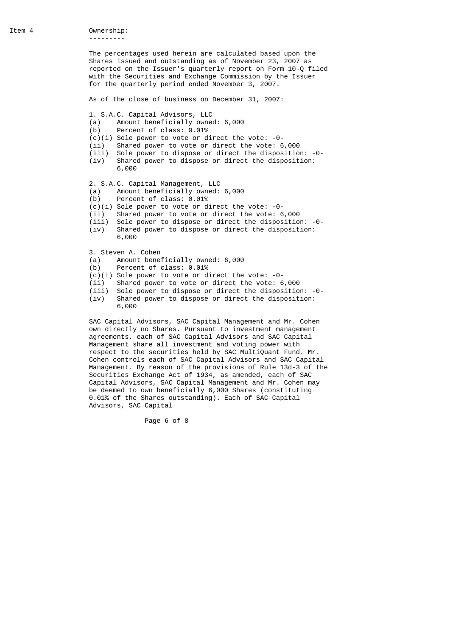The percentages used herein are calculated based upon the Shares issued and outstanding as of November 23, 2007 as reported on the Issuer's quarterly report on Form 10-Q filed with the Securities and Exchange Commission by the Issuer for the quarterly period ended November 3, 2007.

As of the close of business on December 31, 2007:

- 1. S.A.C. Capital Advisors, LLC
- (a) Amount beneficially owned: 6,000
- (b) Percent of class: 0.01%
- $(c)(i)$  Sole power to vote or direct the vote:  $-0$ -
- 
- (ii) Shared power to vote or direct the vote: 6,000 Sole power to dispose or direct the disposition: -0-
- (iv) Shared power to dispose or direct the disposition: 6,000

2. S.A.C. Capital Management, LLC

- (a) Amount beneficially owned: 6,000
- (b) Percent of class: 0.01%
- (c)(i) Sole power to vote or direct the vote: -0-
- (ii) Shared power to vote or direct the vote: 6,000<br>(iii) Sole power to dispose or direct the dispositio
- (iii) Sole power to dispose or direct the disposition: -0- Shared power to dispose or direct the disposition: 6,000

3. Steven A. Cohen

- (a) Amount beneficially owned: 6,000<br>(b) Percent of class: 0.01%
- Percent of class: 0.01%
- $(c)(i)$  Sole power to vote or direct the vote:  $-0$ -
- (ii) Shared power to vote or direct the vote: 6,000
- (iii) Sole power to dispose or direct the disposition: -0- (iv) Shared power to dispose or direct the disposition: 6,000

 SAC Capital Advisors, SAC Capital Management and Mr. Cohen own directly no Shares. Pursuant to investment management agreements, each of SAC Capital Advisors and SAC Capital Management share all investment and voting power with respect to the securities held by SAC MultiQuant Fund. Mr. Cohen controls each of SAC Capital Advisors and SAC Capital Management. By reason of the provisions of Rule 13d-3 of the Securities Exchange Act of 1934, as amended, each of SAC Capital Advisors, SAC Capital Management and Mr. Cohen may be deemed to own beneficially 6,000 Shares (constituting 0.01% of the Shares outstanding). Each of SAC Capital Advisors, SAC Capital

Page 6 of 8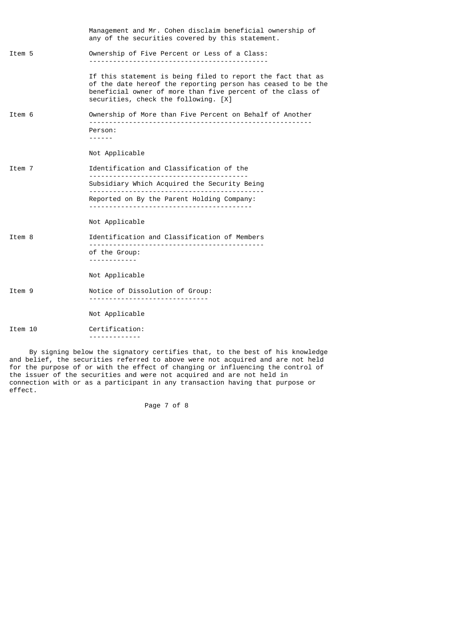|         | Management and Mr. Cohen disclaim beneficial ownership of<br>any of the securities covered by this statement.                                                                                                                     |
|---------|-----------------------------------------------------------------------------------------------------------------------------------------------------------------------------------------------------------------------------------|
| Item 5  | Ownership of Five Percent or Less of a Class:                                                                                                                                                                                     |
|         | If this statement is being filed to report the fact that as<br>of the date hereof the reporting person has ceased to be the<br>beneficial owner of more than five percent of the class of<br>securities, check the following. [X] |
| Item 6  | Ownership of More than Five Percent on Behalf of Another                                                                                                                                                                          |
|         | Person:<br>------                                                                                                                                                                                                                 |
|         | Not Applicable                                                                                                                                                                                                                    |
| Item 7  | Identification and Classification of the                                                                                                                                                                                          |
|         | Subsidiary Which Acquired the Security Being                                                                                                                                                                                      |
|         | Reported on By the Parent Holding Company:                                                                                                                                                                                        |
|         | Not Applicable                                                                                                                                                                                                                    |
| Item 8  | Identification and Classification of Members                                                                                                                                                                                      |
|         | of the Group:                                                                                                                                                                                                                     |
|         | Not Applicable                                                                                                                                                                                                                    |
| Item 9  | Notice of Dissolution of Group:                                                                                                                                                                                                   |
|         | Not Applicable                                                                                                                                                                                                                    |
| Item 10 | Certification:<br>--------------                                                                                                                                                                                                  |
|         |                                                                                                                                                                                                                                   |

 By signing below the signatory certifies that, to the best of his knowledge and belief, the securities referred to above were not acquired and are not held for the purpose of or with the effect of changing or influencing the control of the issuer of the securities and were not acquired and are not held in connection with or as a participant in any transaction having that purpose or effect.

Page 7 of 8